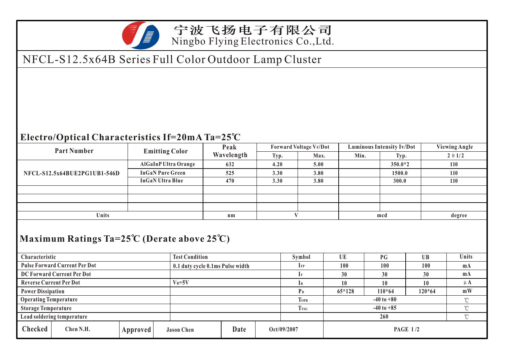

## 宁波飞扬电子有限公司 Ningbo Flying Electronics Co.,Ltd.

## NFCL-S12.5x64B Series Full Color Outdoor Lamp Cluster

## **Electro/Optical Characteristics If=20mA Ta=25 C**

| <b>Part Number</b>                   |                              |                                                                      | <b>Emitting Color</b>       |             | Peak<br>Wavelength       |           | Forward Voltage VF/Dot         |           | <b>Luminous Intensity Iv/Dot</b> |                |              | <b>Viewing Angle</b> |  |
|--------------------------------------|------------------------------|----------------------------------------------------------------------|-----------------------------|-------------|--------------------------|-----------|--------------------------------|-----------|----------------------------------|----------------|--------------|----------------------|--|
|                                      |                              |                                                                      |                             |             |                          |           | Max.                           |           | Min.                             |                | Typ.         | $2 \theta 1/2$       |  |
|                                      |                              |                                                                      | <b>AlGaInP Ultra Orange</b> |             | 632                      | 4.20      | 5.00                           |           |                                  | $350.0*2$      |              | 110                  |  |
|                                      | NFCL-S12.5x64BUE2PG1UB1-546D |                                                                      | <b>InGaN Pure Green</b>     |             | 525                      | 3.30      | 3.80                           |           |                                  | 1500.0         |              | 110                  |  |
|                                      |                              |                                                                      | <b>InGaN Ultra Blue</b>     |             | 470                      | 3.30      | 3.80                           |           |                                  | 300.0          |              | 110                  |  |
|                                      |                              |                                                                      |                             |             |                          |           |                                |           |                                  |                |              |                      |  |
|                                      |                              |                                                                      |                             |             |                          |           |                                |           |                                  |                |              |                      |  |
|                                      |                              |                                                                      |                             |             |                          |           |                                |           |                                  |                |              |                      |  |
| Units                                |                              |                                                                      |                             |             | $n_{m}$                  |           | $\bf{V}$                       |           | mcd                              |                |              | degree               |  |
| Characteristic                       |                              | Maximum Ratings Ta=25°C (Derate above 25°C)<br><b>Test Condition</b> |                             |             | Symbol                   | <b>UE</b> |                                | <b>PG</b> | UB                               | <b>Units</b>   |              |                      |  |
| <b>Pulse Forward Current Per Dot</b> |                              | 0.1 duty cycle 0.1ms Pulse width                                     |                             |             | $\mathbf{I}_{\text{FP}}$ | 100       |                                | 100       | 100                              | m <sub>A</sub> |              |                      |  |
| DC Forward Current Per Dot           |                              |                                                                      |                             |             | $I_{F}$                  | 30        |                                | 30        | 30                               | m <sub>A</sub> |              |                      |  |
| <b>Reverse Current Per Dot</b>       | $V_R = 5V$                   |                                                                      |                             |             | $I_{R}$                  | 10        |                                | 10        | 10                               | $\upmu$ A      |              |                      |  |
| <b>Power Dissipation</b>             |                              |                                                                      |                             |             | P <sub>D</sub>           | $65*128$  |                                | $110*64$  | $120*64$                         | mW             |              |                      |  |
| <b>Operating Temperature</b>         |                              |                                                                      |                             |             | <b>TOPR</b>              |           | $-40$ to $+80$<br>$\mathrm{C}$ |           |                                  |                |              |                      |  |
| <b>Storage Temperature</b>           |                              |                                                                      |                             | <b>Trsg</b> |                          |           | $-40$ to $+85$                 |           |                                  |                | $\mathrm{C}$ |                      |  |
| Lead soldering temperature           |                              |                                                                      |                             |             |                          |           |                                | 260       |                                  | $\mathrm{C}$   |              |                      |  |
| Checked                              | Chen N.H.                    | Approved                                                             | <b>Jason Chen</b>           | Date        |                          |           | Oct/09/2007                    |           | <b>PAGE 1/2</b>                  |                |              |                      |  |